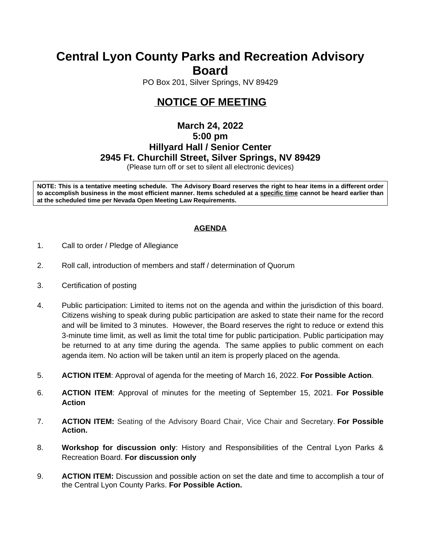# **Central Lyon County Parks and Recreation Advisory Board**

PO Box 201, Silver Springs, NV 89429

## **NOTICE OF MEETING**

## **March 24, 2022 5:00 pm Hillyard Hall / Senior Center 2945 Ft. Churchill Street, Silver Springs, NV 89429**

(Please turn off or set to silent all electronic devices)

NOTE: This is a tentative meeting schedule. The Advisory Board reserves the right to hear items in a different order to accomplish business in the most efficient manner. Items scheduled at a specific time cannot be heard earlier than **at the scheduled time per Nevada Open Meeting Law Requirements.** 

### **AGENDA**

- 1. Call to order / Pledge of Allegiance
- 2. Roll call, introduction of members and staff / determination of Quorum
- 3. Certification of posting
- 4. Public participation: Limited to items not on the agenda and within the jurisdiction of this board. Citizens wishing to speak during public participation are asked to state their name for the record and will be limited to 3 minutes. However, the Board reserves the right to reduce or extend this 3-minute time limit, as well as limit the total time for public participation. Public participation may be returned to at any time during the agenda. The same applies to public comment on each agenda item. No action will be taken until an item is properly placed on the agenda.
- 5. **ACTION ITEM**: Approval of agenda for the meeting of March 16, 2022. **For Possible Action**.
- 6. **ACTION ITEM**: Approval of minutes for the meeting of September 15, 2021. **For Possible Action**
- 7. **ACTION ITEM:** Seating of the Advisory Board Chair, Vice Chair and Secretary. **For Possible Action.**
- 8. **Workshop for discussion only**: History and Responsibilities of the Central Lyon Parks & Recreation Board. **For discussion only**
- 9. **ACTION ITEM:** Discussion and possible action on set the date and time to accomplish a tour of the Central Lyon County Parks. **For Possible Action.**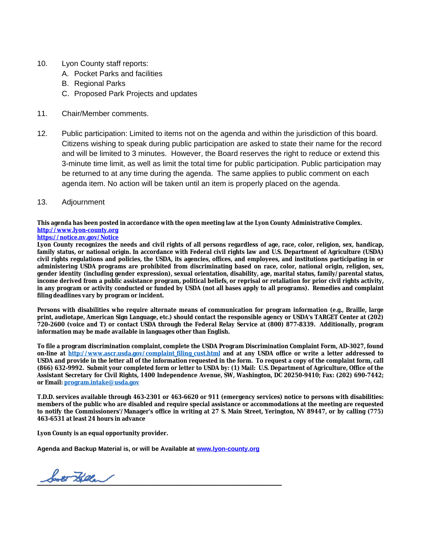- 10. Lyon County staff reports:
	- A. Pocket Parks and facilities
	- B. Regional Parks
	- C. Proposed Park Projects and updates
- 11. Chair/Member comments.
- 12. Public participation: Limited to items not on the agenda and within the jurisdiction of this board. Citizens wishing to speak during public participation are asked to state their name for the record and will be limited to 3 minutes. However, the Board reserves the right to reduce or extend this 3-minute time limit, as well as limit the total time for public participation. Public participation may be returned to at any time during the agenda. The same applies to public comment on each agenda item. No action will be taken until an item is properly placed on the agenda.
- 13. Adjournment

### **This agenda has been posted in accordance with the open meeting law at the Lyon County Administrative Complex. [http://www.lyon-county.org](about:blank)**

#### **[https://notice.nv.gov/Notice](about:blank)**

Lyon County recognizes the needs and civil rights of all persons regardless of age, race, color, religion, sex, handicap, family status, or national origin. In accordance with Federal civil rights law and U.S. Department of Agriculture (USDA) civil rights regulations and policies, the USDA, its agencies, offices, and employees, and institutions participating in or **administering USDA programs are prohibited from discriminating based on race, color, national origin, religion, sex, gender identity (including gender expression), sexual orientation, disability, age, marital status, family/parental status,** income derived from a public assistance program, political beliefs, or reprisal or retaliation for prior civil rights activity, in any program or activity conducted or funded by USDA (not all bases apply to all programs). Remedies and complaint **filing deadlines vary by program or incident.**

**Persons with disabilities who require alternate means of communication for program information (e.g., Braille, large** print, audiotape, American Sign Language, etc.) should contact the responsible agency or USDA's TARGET Center at (202) 720-2600 (voice and T) or contact USDA through the Federal Relay Service at (800) 877-8339. Additionally, program **information may be made available in languages other than English.**

**To file a program discrimination complaint, complete the USDA Program Discrimination Complaint Form, AD-3027, found on-line at [http://www.ascr.usda.gov/complaint\\_filing\\_cust.html](about:blank) and at any USDA office or write a letter addressed to** USDA and provide in the letter all of the information requested in the form. To request a copy of the complaint form, call (866) 632-9992. Submit your completed form or letter to USDA by: (1) Mail: U.S. Department of Agriculture, Office of the **Assistant Secretary for Civil Rights, 1400 Independence Avenue, SW, Washington, DC 20250-9410; Fax: (202) 690-7442; or Email: [program.intake@usda.gov](about:blank)**

T.D.D. services available through 463-2301 or 463-6620 or 911 (emergency services) notice to persons with disabilities: members of the public who are disabled and require special assistance or accommodations at the meeting are requested to notify the Commissioners'/Manager's office in writing at 27 S. Main Street, Yerington, NV 89447, or by calling (775) **463-6531 at least 24 hours in advance**

**Lyon County is an equal opportunity provider.**

**Agenda and Backup Material is, or will be Available at [www.lyon-county.org](about:blank)**

bott Filler